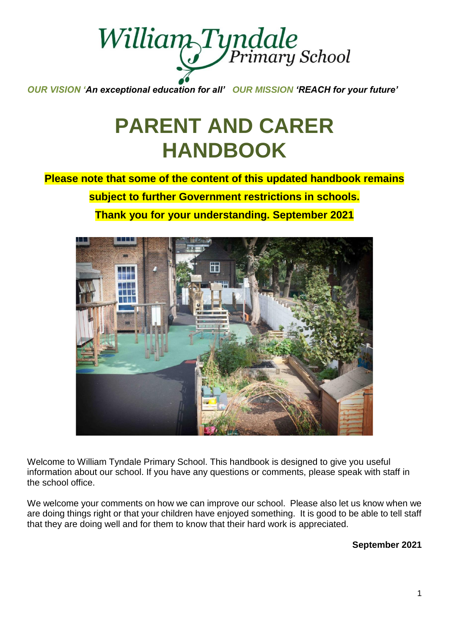

*OUR VISION 'An exceptional education for all' OUR MISSION 'REACH for your future'*

# **PARENT AND CARER HANDBOOK**

**Please note that some of the content of this updated handbook remains subject to further Government restrictions in schools. Thank you for your understanding. September 2021**



Welcome to William Tyndale Primary School. This handbook is designed to give you useful information about our school. If you have any questions or comments, please speak with staff in the school office.

We welcome your comments on how we can improve our school. Please also let us know when we are doing things right or that your children have enjoyed something. It is good to be able to tell staff that they are doing well and for them to know that their hard work is appreciated.

**September 2021**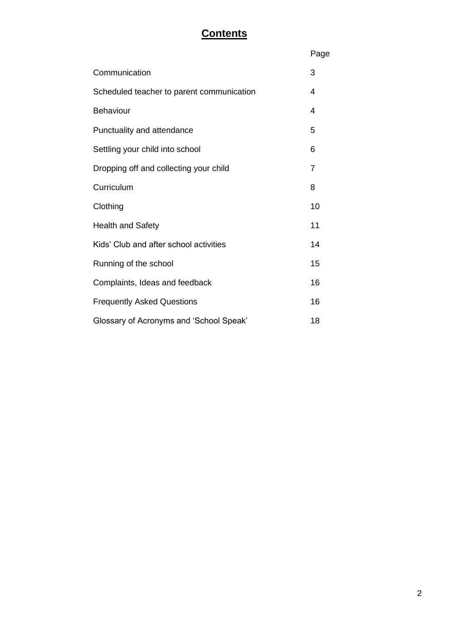# **Contents**

|                                           | Page           |
|-------------------------------------------|----------------|
| Communication                             | 3              |
| Scheduled teacher to parent communication | 4              |
| Behaviour                                 | 4              |
| Punctuality and attendance                | 5              |
| Settling your child into school           | 6              |
| Dropping off and collecting your child    | $\overline{7}$ |
| Curriculum                                | 8              |
| Clothing                                  | 10             |
| <b>Health and Safety</b>                  | 11             |
| Kids' Club and after school activities    | 14             |
| Running of the school                     | 15             |
| Complaints, Ideas and feedback            | 16             |
| <b>Frequently Asked Questions</b>         | 16             |
| Glossary of Acronyms and 'School Speak'   | 18             |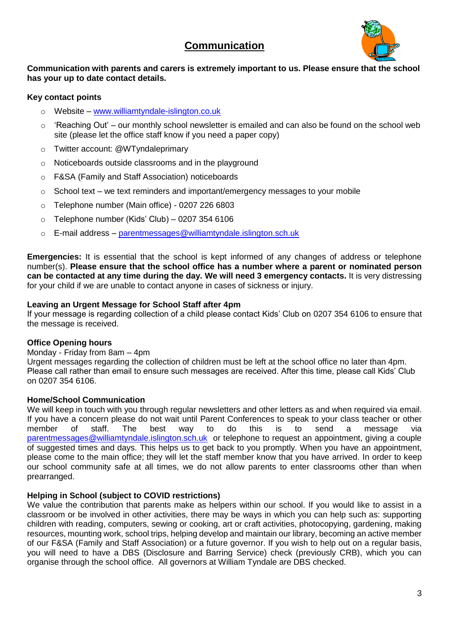# **Communication**



### **Communication with parents and carers is extremely important to us. Please ensure that the school has your up to date contact details.**

# **Key contact points**

- Website [www.williamtyndale-islington.co.uk](http://www.williamtyndale-islington.co.uk/)
- $\circ$  'Reaching Out' our monthly school newsletter is emailed and can also be found on the school web site (please let the office staff know if you need a paper copy)
- o Twitter account: @WTyndaleprimary
- o Noticeboards outside classrooms and in the playground
- o F&SA (Family and Staff Association) noticeboards
- o School text we text reminders and important/emergency messages to your mobile
- o Telephone number (Main office) 0207 226 6803
- $\circ$  Telephone number (Kids' Club) 0207 354 6106
- o E-mail address [parentmessages@williamtyndale.islington.sch.uk](mailto:admin@williamtyndale.islington.sch.uk)

**Emergencies:** It is essential that the school is kept informed of any changes of address or telephone number(s). **Please ensure that the school office has a number where a parent or nominated person can be contacted at any time during the day. We will need 3 emergency contacts.** It is very distressing for your child if we are unable to contact anyone in cases of sickness or injury.

### **Leaving an Urgent Message for School Staff after 4pm**

If your message is regarding collection of a child please contact Kids' Club on 0207 354 6106 to ensure that the message is received.

# **Office Opening hours**

#### Monday - Friday from 8am – 4pm

Urgent messages regarding the collection of children must be left at the school office no later than 4pm. Please call rather than email to ensure such messages are received. After this time, please call Kids' Club on 0207 354 6106.

#### **Home/School Communication**

We will keep in touch with you through regular newsletters and other letters as and when required via email. If you have a concern please do not wait until Parent Conferences to speak to your class teacher or other member<br>member of staff. The best way to do this is to send a message via member of staff. The best way to do this is to send a message via [parentmessages@williamtyndale.islington.sch.uk](mailto:parentmessages@williamtyndale.islington.sch.uk) or telephone to request an appointment, giving a couple of suggested times and days. This helps us to get back to you promptly. When you have an appointment, please come to the main office; they will let the staff member know that you have arrived. In order to keep our school community safe at all times, we do not allow parents to enter classrooms other than when prearranged.

# **Helping in School (subject to COVID restrictions)**

We value the contribution that parents make as helpers within our school. If you would like to assist in a classroom or be involved in other activities, there may be ways in which you can help such as: supporting children with reading, computers, sewing or cooking, art or craft activities, photocopying, gardening, making resources, mounting work, school trips, helping develop and maintain our library, becoming an active member of our F&SA (Family and Staff Association) or a future governor. If you wish to help out on a regular basis, you will need to have a DBS (Disclosure and Barring Service) check (previously CRB), which you can organise through the school office. All governors at William Tyndale are DBS checked.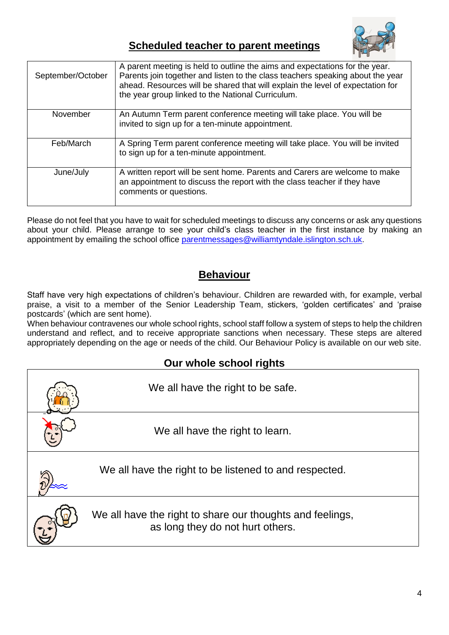

# **Scheduled teacher to parent meetings**

| September/October | A parent meeting is held to outline the aims and expectations for the year.<br>Parents join together and listen to the class teachers speaking about the year<br>ahead. Resources will be shared that will explain the level of expectation for<br>the year group linked to the National Curriculum. |
|-------------------|------------------------------------------------------------------------------------------------------------------------------------------------------------------------------------------------------------------------------------------------------------------------------------------------------|
| November          | An Autumn Term parent conference meeting will take place. You will be<br>invited to sign up for a ten-minute appointment.                                                                                                                                                                            |
| Feb/March         | A Spring Term parent conference meeting will take place. You will be invited<br>to sign up for a ten-minute appointment.                                                                                                                                                                             |
| June/July         | A written report will be sent home. Parents and Carers are welcome to make<br>an appointment to discuss the report with the class teacher if they have<br>comments or questions.                                                                                                                     |

Please do not feel that you have to wait for scheduled meetings to discuss any concerns or ask any questions about your child. Please arrange to see your child's class teacher in the first instance by making an appointment by emailing the school office [parentmessages@williamtyndale.islington.sch.uk.](mailto:parentmessages@williamtyndale.islington.sch.uk)

# **Behaviour**

Staff have very high expectations of children's behaviour. Children are rewarded with, for example, verbal praise, a visit to a member of the Senior Leadership Team, stickers, 'golden certificates' and 'praise postcards' (which are sent home).

When behaviour contravenes our whole school rights, school staff follow a system of steps to help the children understand and reflect, and to receive appropriate sanctions when necessary. These steps are altered appropriately depending on the age or needs of the child. Our Behaviour Policy is available on our web site.

# **Our whole school rights**

| We all have the right to be safe.                                                             |
|-----------------------------------------------------------------------------------------------|
| We all have the right to learn.                                                               |
| We all have the right to be listened to and respected.                                        |
| We all have the right to share our thoughts and feelings,<br>as long they do not hurt others. |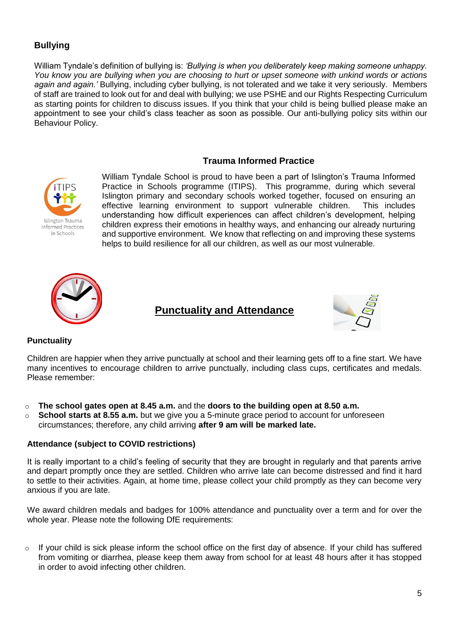# **Bullying**

William Tyndale's definition of bullying is: *'Bullying is when you deliberately keep making someone unhappy. You know you are bullying when you are choosing to hurt or upset someone with unkind words or actions again and again.'* Bullying, including cyber bullying, is not tolerated and we take it very seriously. Members of staff are trained to look out for and deal with bullying; we use PSHE and our Rights Respecting Curriculum as starting points for children to discuss issues. If you think that your child is being bullied please make an appointment to see your child's class teacher as soon as possible. Our anti-bullying policy sits within our Behaviour Policy.

# **Trauma Informed Practice**



William Tyndale School is proud to have been a part of Islington's Trauma Informed Practice in Schools programme (ITIPS). This programme, during which several Islington primary and secondary schools worked together, focused on ensuring an effective learning environment to support vulnerable children. This includes understanding how difficult experiences can affect children's development, helping children express their emotions in healthy ways, and enhancing our already nurturing and supportive environment. We know that reflecting on and improving these systems helps to build resilience for all our children, as well as our most vulnerable.



# **Punctuality and Attendance**



# **Punctuality**

Children are happier when they arrive punctually at school and their learning gets off to a fine start. We have many incentives to encourage children to arrive punctually, including class cups, certificates and medals. Please remember:

- o **The school gates open at 8.45 a.m.** and the **doors to the building open at 8.50 a.m.**
- o **School starts at 8.55 a.m.** but we give you a 5-minute grace period to account for unforeseen circumstances; therefore, any child arriving **after 9 am will be marked late.**

#### **Attendance (subject to COVID restrictions)**

It is really important to a child's feeling of security that they are brought in regularly and that parents arrive and depart promptly once they are settled. Children who arrive late can become distressed and find it hard to settle to their activities. Again, at home time, please collect your child promptly as they can become very anxious if you are late.

We award children medals and badges for 100% attendance and punctuality over a term and for over the whole year. Please note the following DfE requirements:

 $\circ$  If your child is sick please inform the school office on the first day of absence. If your child has suffered from vomiting or diarrhea, please keep them away from school for at least 48 hours after it has stopped in order to avoid infecting other children.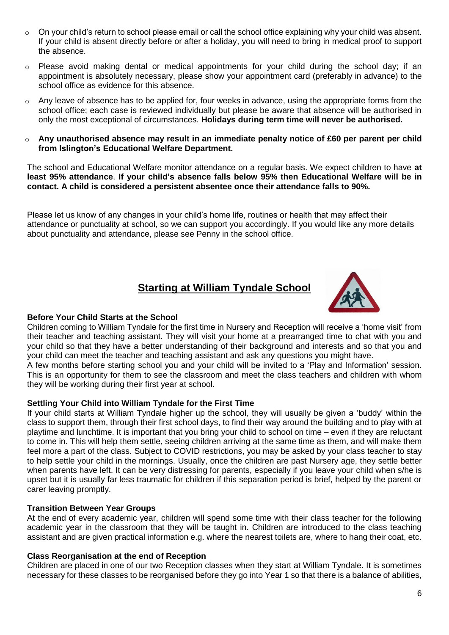- $\circ$  On your child's return to school please email or call the school office explaining why your child was absent. If your child is absent directly before or after a holiday, you will need to bring in medical proof to support the absence.
- o Please avoid making dental or medical appointments for your child during the school day; if an appointment is absolutely necessary, please show your appointment card (preferably in advance) to the school office as evidence for this absence.
- $\circ$  Any leave of absence has to be applied for, four weeks in advance, using the appropriate forms from the school office; each case is reviewed individually but please be aware that absence will be authorised in only the most exceptional of circumstances. **Holidays during term time will never be authorised.**
- o **Any unauthorised absence may result in an immediate penalty notice of £60 per parent per child from Islington's Educational Welfare Department.**

The school and Educational Welfare monitor attendance on a regular basis. We expect children to have **at least 95% attendance**. **If your child's absence falls below 95% then Educational Welfare will be in contact. A child is considered a persistent absentee once their attendance falls to 90%.**

Please let us know of any changes in your child's home life, routines or health that may affect their attendance or punctuality at school, so we can support you accordingly. If you would like any more details about punctuality and attendance, please see Penny in the school office.

# **Starting at William Tyndale School**



# **Before Your Child Starts at the School**

Children coming to William Tyndale for the first time in Nursery and Reception will receive a 'home visit' from their teacher and teaching assistant. They will visit your home at a prearranged time to chat with you and your child so that they have a better understanding of their background and interests and so that you and your child can meet the teacher and teaching assistant and ask any questions you might have.

A few months before starting school you and your child will be invited to a 'Play and Information' session. This is an opportunity for them to see the classroom and meet the class teachers and children with whom they will be working during their first year at school.

#### **Settling Your Child into William Tyndale for the First Time**

If your child starts at William Tyndale higher up the school, they will usually be given a 'buddy' within the class to support them, through their first school days, to find their way around the building and to play with at playtime and lunchtime. It is important that you bring your child to school on time – even if they are reluctant to come in. This will help them settle, seeing children arriving at the same time as them, and will make them feel more a part of the class. Subject to COVID restrictions, you may be asked by your class teacher to stay to help settle your child in the mornings. Usually, once the children are past Nursery age, they settle better when parents have left. It can be very distressing for parents, especially if you leave your child when s/he is upset but it is usually far less traumatic for children if this separation period is brief, helped by the parent or carer leaving promptly.

#### **Transition Between Year Groups**

At the end of every academic year, children will spend some time with their class teacher for the following academic year in the classroom that they will be taught in. Children are introduced to the class teaching assistant and are given practical information e.g. where the nearest toilets are, where to hang their coat, etc.

#### **Class Reorganisation at the end of Reception**

Children are placed in one of our two Reception classes when they start at William Tyndale. It is sometimes necessary for these classes to be reorganised before they go into Year 1 so that there is a balance of abilities,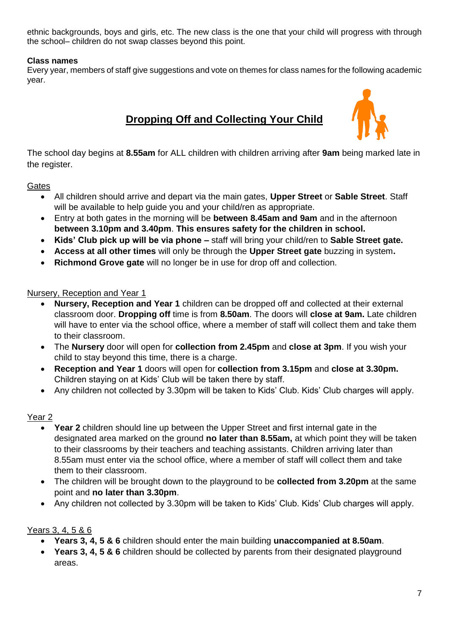ethnic backgrounds, boys and girls, etc. The new class is the one that your child will progress with through the school– children do not swap classes beyond this point.

# **Class names**

Every year, members of staff give suggestions and vote on themes for class names for the following academic year.

# **Dropping Off and Collecting Your Child**



The school day begins at **8.55am** for ALL children with children arriving after **9am** being marked late in the register.

# **Gates**

- All children should arrive and depart via the main gates, **Upper Street** or **Sable Street**. Staff will be available to help guide you and your child/ren as appropriate.
- Entry at both gates in the morning will be **between 8.45am and 9am** and in the afternoon **between 3.10pm and 3.40pm**. **This ensures safety for the children in school.**
- **Kids' Club pick up will be via phone –** staff will bring your child/ren to **Sable Street gate.**
- **Access at all other times** will only be through the **Upper Street gate** buzzing in system**.**
- **Richmond Grove gate** will no longer be in use for drop off and collection.

# Nursery, Reception and Year 1

- **Nursery, Reception and Year 1** children can be dropped off and collected at their external classroom door. **Dropping off** time is from **8.50am**. The doors will **close at 9am.** Late children will have to enter via the school office, where a member of staff will collect them and take them to their classroom.
- The **Nursery** door will open for **collection from 2.45pm** and **close at 3pm**. If you wish your child to stay beyond this time, there is a charge.
- **Reception and Year 1** doors will open for **collection from 3.15pm** and **close at 3.30pm.** Children staying on at Kids' Club will be taken there by staff.
- Any children not collected by 3.30pm will be taken to Kids' Club. Kids' Club charges will apply.

# Year 2

- **Year 2** children should line up between the Upper Street and first internal gate in the designated area marked on the ground **no later than 8.55am,** at which point they will be taken to their classrooms by their teachers and teaching assistants. Children arriving later than 8.55am must enter via the school office, where a member of staff will collect them and take them to their classroom.
- The children will be brought down to the playground to be **collected from 3.20pm** at the same point and **no later than 3.30pm**.
- Any children not collected by 3.30pm will be taken to Kids' Club. Kids' Club charges will apply.

# Years 3, 4, 5 & 6

- **Years 3, 4, 5 & 6** children should enter the main building **unaccompanied at 8.50am**.
- **Years 3, 4, 5 & 6** children should be collected by parents from their designated playground areas.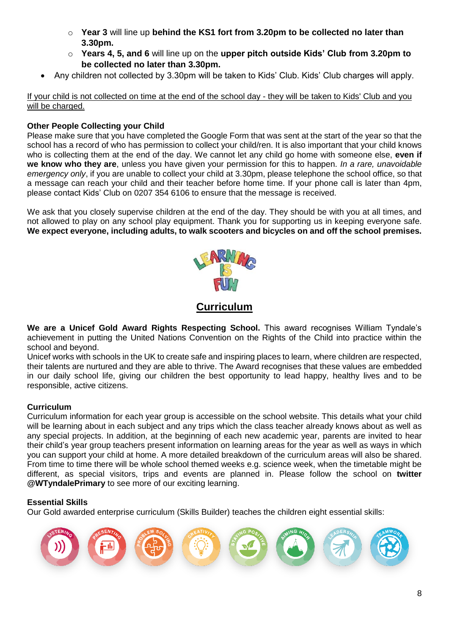- o **Year 3** will line up **behind the KS1 fort from 3.20pm to be collected no later than 3.30pm.**
- o **Years 4, 5, and 6** will line up on the **upper pitch outside Kids' Club from 3.20pm to be collected no later than 3.30pm.**
- Any children not collected by 3.30pm will be taken to Kids' Club. Kids' Club charges will apply.

If your child is not collected on time at the end of the school day - they will be taken to Kids' Club and you will be charged.

#### **Other People Collecting your Child**

Please make sure that you have completed the Google Form that was sent at the start of the year so that the school has a record of who has permission to collect your child/ren. It is also important that your child knows who is collecting them at the end of the day. We cannot let any child go home with someone else, **even if we know who they are**, unless you have given your permission for this to happen. *In a rare, unavoidable emergency only*, if you are unable to collect your child at 3.30pm, please telephone the school office, so that a message can reach your child and their teacher before home time. If your phone call is later than 4pm, please contact Kids' Club on 0207 354 6106 to ensure that the message is received.

We ask that you closely supervise children at the end of the day. They should be with you at all times, and not allowed to play on any school play equipment. Thank you for supporting us in keeping everyone safe. **We expect everyone, including adults, to walk scooters and bicycles on and off the school premises.**



# **Curriculum**

**We are a Unicef Gold Award Rights Respecting School.** This award recognises William Tyndale's achievement in putting the United Nations Convention on the Rights of the Child into practice within the school and beyond.

Unicef works with schools in the UK to create safe and inspiring places to learn, where children are respected, their talents are nurtured and they are able to thrive. The Award recognises that these values are embedded in our daily school life, giving our children the best opportunity to lead happy, healthy lives and to be responsible, active citizens.

#### **Curriculum**

Curriculum information for each year group is accessible on the school website. This details what your child will be learning about in each subject and any trips which the class teacher already knows about as well as any special projects. In addition, at the beginning of each new academic year, parents are invited to hear their child's year group teachers present information on learning areas for the year as well as ways in which you can support your child at home. A more detailed breakdown of the curriculum areas will also be shared. From time to time there will be whole school themed weeks e.g. science week, when the timetable might be different, as special visitors, trips and events are planned in. Please follow the school on **twitter @WTyndalePrimary** to see more of our exciting learning.

#### **Essential Skills**

Our Gold awarded enterprise curriculum (Skills Builder) teaches the children eight essential skills:

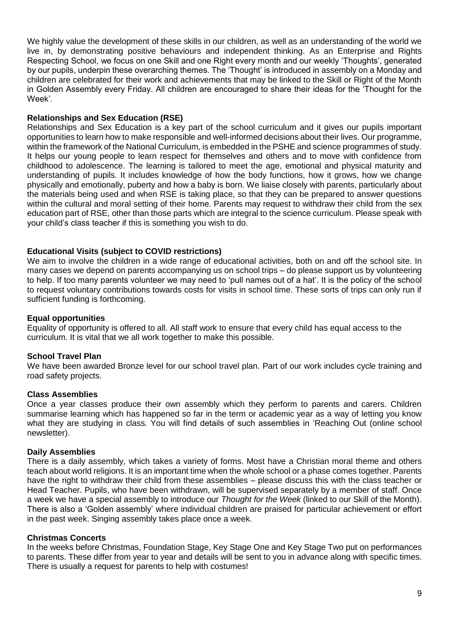We highly value the development of these skills in our children, as well as an understanding of the world we live in, by demonstrating positive behaviours and independent thinking. As an Enterprise and Rights Respecting School, we focus on one Skill and one Right every month and our weekly 'Thoughts', generated by our pupils, underpin these overarching themes. The 'Thought' is introduced in assembly on a Monday and children are celebrated for their work and achievements that may be linked to the Skill or Right of the Month in Golden Assembly every Friday. All children are encouraged to share their ideas for the 'Thought for the Week'.

#### **Relationships and Sex Education (RSE)**

Relationships and Sex Education is a key part of the school curriculum and it gives our pupils important opportunities to learn how to make responsible and well-informed decisions about their lives. Our programme, within the framework of the National Curriculum, is embedded in the PSHE and science programmes of study. It helps our young people to learn respect for themselves and others and to move with confidence from childhood to adolescence. The learning is tailored to meet the age, emotional and physical maturity and understanding of pupils. It includes knowledge of how the body functions, how it grows, how we change physically and emotionally, puberty and how a baby is born. We liaise closely with parents, particularly about the materials being used and when RSE is taking place, so that they can be prepared to answer questions within the cultural and moral setting of their home. Parents may request to withdraw their child from the sex education part of RSE, other than those parts which are integral to the science curriculum. Please speak with your child's class teacher if this is something you wish to do.

### **Educational Visits (subject to COVID restrictions)**

We aim to involve the children in a wide range of educational activities, both on and off the school site. In many cases we depend on parents accompanying us on school trips – do please support us by volunteering to help. If too many parents volunteer we may need to 'pull names out of a hat'. It is the policy of the school to request voluntary contributions towards costs for visits in school time. These sorts of trips can only run if sufficient funding is forthcoming.

#### **Equal opportunities**

Equality of opportunity is offered to all. All staff work to ensure that every child has equal access to the curriculum. It is vital that we all work together to make this possible.

#### **School Travel Plan**

We have been awarded Bronze level for our school travel plan. Part of our work includes cycle training and road safety projects.

#### **Class Assemblies**

Once a year classes produce their own assembly which they perform to parents and carers. Children summarise learning which has happened so far in the term or academic year as a way of letting you know what they are studying in class. You will find details of such assemblies in 'Reaching Out (online school newsletter).

#### **Daily Assemblies**

There is a daily assembly, which takes a variety of forms. Most have a Christian moral theme and others teach about world religions. It is an important time when the whole school or a phase comes together. Parents have the right to withdraw their child from these assemblies – please discuss this with the class teacher or Head Teacher. Pupils, who have been withdrawn, will be supervised separately by a member of staff. Once a week we have a special assembly to introduce our *Thought for the Week* (linked to our Skill of the Month). There is also a 'Golden assembly' where individual children are praised for particular achievement or effort in the past week. Singing assembly takes place once a week.

#### **Christmas Concerts**

In the weeks before Christmas, Foundation Stage, Key Stage One and Key Stage Two put on performances to parents. These differ from year to year and details will be sent to you in advance along with specific times. There is usually a request for parents to help with costumes!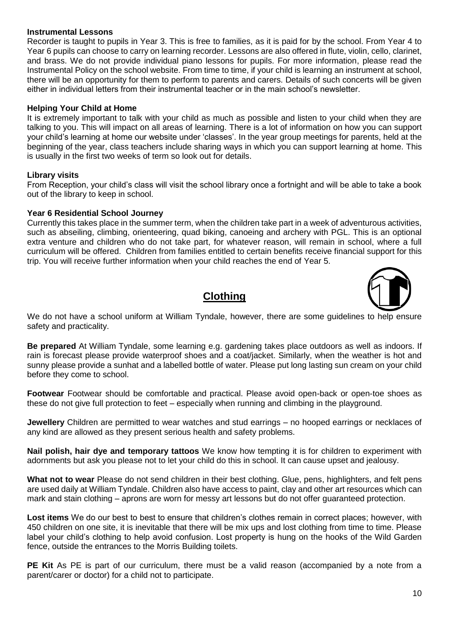#### **Instrumental Lessons**

Recorder is taught to pupils in Year 3. This is free to families, as it is paid for by the school. From Year 4 to Year 6 pupils can choose to carry on learning recorder. Lessons are also offered in flute, violin, cello, clarinet, and brass. We do not provide individual piano lessons for pupils. For more information, please read the Instrumental Policy on the school website. From time to time, if your child is learning an instrument at school, there will be an opportunity for them to perform to parents and carers. Details of such concerts will be given either in individual letters from their instrumental teacher or in the main school's newsletter.

#### **Helping Your Child at Home**

It is extremely important to talk with your child as much as possible and listen to your child when they are talking to you. This will impact on all areas of learning. There is a lot of information on how you can support your child's learning at home our website under 'classes'. In the year group meetings for parents, held at the beginning of the year, class teachers include sharing ways in which you can support learning at home. This is usually in the first two weeks of term so look out for details.

#### **Library visits**

From Reception, your child's class will visit the school library once a fortnight and will be able to take a book out of the library to keep in school.

#### **Year 6 Residential School Journey**

Currently this takes place in the summer term, when the children take part in a week of adventurous activities, such as abseiling, climbing, orienteering, quad biking, canoeing and archery with PGL. This is an optional extra venture and children who do not take part, for whatever reason, will remain in school, where a full curriculum will be offered. Children from families entitled to certain benefits receive financial support for this trip. You will receive further information when your child reaches the end of Year 5.

# **Clothing**



We do not have a school uniform at William Tyndale, however, there are some guidelines to help ensure safety and practicality.

**Be prepared** At William Tyndale, some learning e.g. gardening takes place outdoors as well as indoors. If rain is forecast please provide waterproof shoes and a coat/jacket. Similarly, when the weather is hot and sunny please provide a sunhat and a labelled bottle of water. Please put long lasting sun cream on your child before they come to school.

**Footwear** Footwear should be comfortable and practical. Please avoid open-back or open-toe shoes as these do not give full protection to feet – especially when running and climbing in the playground.

**Jewellery** Children are permitted to wear watches and stud earrings – no hooped earrings or necklaces of any kind are allowed as they present serious health and safety problems.

**Nail polish, hair dye and temporary tattoos** We know how tempting it is for children to experiment with adornments but ask you please not to let your child do this in school. It can cause upset and jealousy.

**What not to wear** Please do not send children in their best clothing. Glue, pens, highlighters, and felt pens are used daily at William Tyndale. Children also have access to paint, clay and other art resources which can mark and stain clothing – aprons are worn for messy art lessons but do not offer guaranteed protection.

**Lost items** We do our best to best to ensure that children's clothes remain in correct places; however, with 450 children on one site, it is inevitable that there will be mix ups and lost clothing from time to time. Please label your child's clothing to help avoid confusion. Lost property is hung on the hooks of the Wild Garden fence, outside the entrances to the Morris Building toilets.

**PE Kit** As PE is part of our curriculum, there must be a valid reason (accompanied by a note from a parent/carer or doctor) for a child not to participate.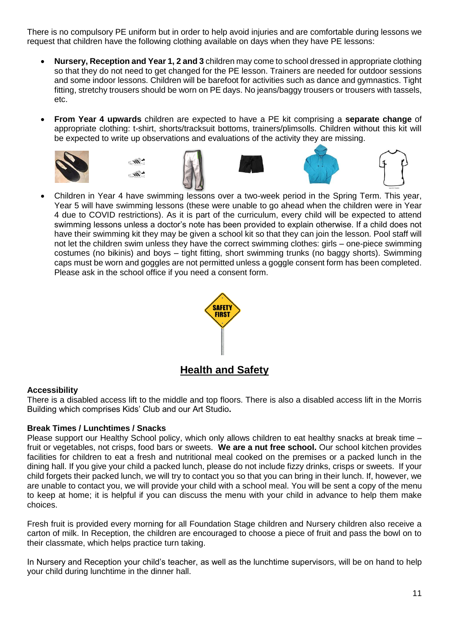There is no compulsory PE uniform but in order to help avoid injuries and are comfortable during lessons we request that children have the following clothing available on days when they have PE lessons:

- **Nursery, Reception and Year 1, 2 and 3** children may come to school dressed in appropriate clothing so that they do not need to get changed for the PE lesson. Trainers are needed for outdoor sessions and some indoor lessons. Children will be barefoot for activities such as dance and gymnastics. Tight fitting, stretchy trousers should be worn on PE days. No jeans/baggy trousers or trousers with tassels, etc.
- **From Year 4 upwards** children are expected to have a PE kit comprising a **separate change** of appropriate clothing: t-shirt, shorts/tracksuit bottoms, trainers/plimsolls. Children without this kit will be expected to write up observations and evaluations of the activity they are missing.















• Children in Year 4 have swimming lessons over a two-week period in the Spring Term. This year, Year 5 will have swimming lessons (these were unable to go ahead when the children were in Year 4 due to COVID restrictions). As it is part of the curriculum, every child will be expected to attend swimming lessons unless a doctor's note has been provided to explain otherwise. If a child does not have their swimming kit they may be given a school kit so that they can join the lesson. Pool staff will not let the children swim unless they have the correct swimming clothes: girls – one-piece swimming costumes (no bikinis) and boys – tight fitting, short swimming trunks (no baggy shorts). Swimming caps must be worn and goggles are not permitted unless a goggle consent form has been completed. Please ask in the school office if you need a consent form.



# **Accessibility**

There is a disabled access lift to the middle and top floors. There is also a disabled access lift in the Morris Building which comprises Kids' Club and our Art Studio**.**

# **Break Times / Lunchtimes / Snacks**

Please support our Healthy School policy, which only allows children to eat healthy snacks at break time – fruit or vegetables, not crisps, food bars or sweets. **We are a nut free school.** Our school kitchen provides facilities for children to eat a fresh and nutritional meal cooked on the premises or a packed lunch in the dining hall. If you give your child a packed lunch, please do not include fizzy drinks, crisps or sweets. If your child forgets their packed lunch, we will try to contact you so that you can bring in their lunch. If, however, we are unable to contact you, we will provide your child with a school meal. You will be sent a copy of the menu to keep at home; it is helpful if you can discuss the menu with your child in advance to help them make choices.

Fresh fruit is provided every morning for all Foundation Stage children and Nursery children also receive a carton of milk. In Reception, the children are encouraged to choose a piece of fruit and pass the bowl on to their classmate, which helps practice turn taking.

In Nursery and Reception your child's teacher, as well as the lunchtime supervisors, will be on hand to help your child during lunchtime in the dinner hall.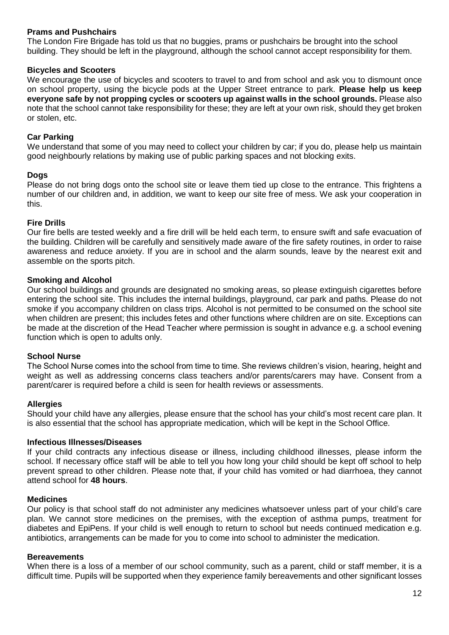#### **Prams and Pushchairs**

The London Fire Brigade has told us that no buggies, prams or pushchairs be brought into the school building. They should be left in the playground, although the school cannot accept responsibility for them.

#### **Bicycles and Scooters**

We encourage the use of bicycles and scooters to travel to and from school and ask you to dismount once on school property, using the bicycle pods at the Upper Street entrance to park. **Please help us keep everyone safe by not propping cycles or scooters up against walls in the school grounds.** Please also note that the school cannot take responsibility for these; they are left at your own risk, should they get broken or stolen, etc.

#### **Car Parking**

We understand that some of you may need to collect your children by car; if you do, please help us maintain good neighbourly relations by making use of public parking spaces and not blocking exits.

#### **Dogs**

Please do not bring dogs onto the school site or leave them tied up close to the entrance. This frightens a number of our children and, in addition, we want to keep our site free of mess. We ask your cooperation in this.

#### **Fire Drills**

Our fire bells are tested weekly and a fire drill will be held each term, to ensure swift and safe evacuation of the building. Children will be carefully and sensitively made aware of the fire safety routines, in order to raise awareness and reduce anxiety. If you are in school and the alarm sounds, leave by the nearest exit and assemble on the sports pitch.

#### **Smoking and Alcohol**

Our school buildings and grounds are designated no smoking areas, so please extinguish cigarettes before entering the school site. This includes the internal buildings, playground, car park and paths. Please do not smoke if you accompany children on class trips. Alcohol is not permitted to be consumed on the school site when children are present; this includes fetes and other functions where children are on site. Exceptions can be made at the discretion of the Head Teacher where permission is sought in advance e.g. a school evening function which is open to adults only.

#### **School Nurse**

The School Nurse comes into the school from time to time. She reviews children's vision, hearing, height and weight as well as addressing concerns class teachers and/or parents/carers may have. Consent from a parent/carer is required before a child is seen for health reviews or assessments.

#### **Allergies**

Should your child have any allergies, please ensure that the school has your child's most recent care plan. It is also essential that the school has appropriate medication, which will be kept in the School Office.

#### **Infectious Illnesses/Diseases**

If your child contracts any infectious disease or illness, including childhood illnesses, please inform the school. If necessary office staff will be able to tell you how long your child should be kept off school to help prevent spread to other children. Please note that, if your child has vomited or had diarrhoea, they cannot attend school for **48 hours**.

#### **Medicines**

Our policy is that school staff do not administer any medicines whatsoever unless part of your child's care plan. We cannot store medicines on the premises, with the exception of asthma pumps, treatment for diabetes and EpiPens. If your child is well enough to return to school but needs continued medication e.g. antibiotics, arrangements can be made for you to come into school to administer the medication.

#### **Bereavements**

When there is a loss of a member of our school community, such as a parent, child or staff member, it is a difficult time. Pupils will be supported when they experience family bereavements and other significant losses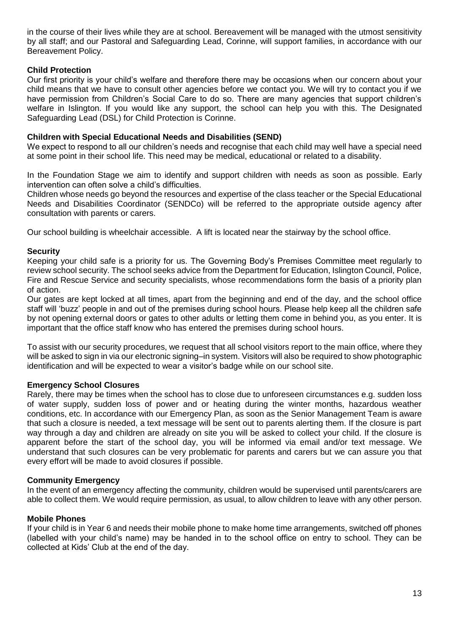in the course of their lives while they are at school. Bereavement will be managed with the utmost sensitivity by all staff; and our Pastoral and Safeguarding Lead, Corinne, will support families, in accordance with our Bereavement Policy.

### **Child Protection**

Our first priority is your child's welfare and therefore there may be occasions when our concern about your child means that we have to consult other agencies before we contact you. We will try to contact you if we have permission from Children's Social Care to do so. There are many agencies that support children's welfare in Islington. If you would like any support, the school can help you with this. The Designated Safeguarding Lead (DSL) for Child Protection is Corinne.

#### **Children with Special Educational Needs and Disabilities (SEND)**

We expect to respond to all our children's needs and recognise that each child may well have a special need at some point in their school life. This need may be medical, educational or related to a disability.

In the Foundation Stage we aim to identify and support children with needs as soon as possible. Early intervention can often solve a child's difficulties.

Children whose needs go beyond the resources and expertise of the class teacher or the Special Educational Needs and Disabilities Coordinator (SENDCo) will be referred to the appropriate outside agency after consultation with parents or carers.

Our school building is wheelchair accessible. A lift is located near the stairway by the school office.

### **Security**

Keeping your child safe is a priority for us. The Governing Body's Premises Committee meet regularly to review school security. The school seeks advice from the Department for Education, Islington Council, Police, Fire and Rescue Service and security specialists, whose recommendations form the basis of a priority plan of action.

Our gates are kept locked at all times, apart from the beginning and end of the day, and the school office staff will 'buzz' people in and out of the premises during school hours. Please help keep all the children safe by not opening external doors or gates to other adults or letting them come in behind you, as you enter. It is important that the office staff know who has entered the premises during school hours.

To assist with our security procedures, we request that all school visitors report to the main office, where they will be asked to sign in via our electronic signing–in system. Visitors will also be required to show photographic identification and will be expected to wear a visitor's badge while on our school site.

#### **Emergency School Closures**

Rarely, there may be times when the school has to close due to unforeseen circumstances e.g. sudden loss of water supply, sudden loss of power and or heating during the winter months, hazardous weather conditions, etc. In accordance with our Emergency Plan, as soon as the Senior Management Team is aware that such a closure is needed, a text message will be sent out to parents alerting them. If the closure is part way through a day and children are already on site you will be asked to collect your child. If the closure is apparent before the start of the school day, you will be informed via email and/or text message. We understand that such closures can be very problematic for parents and carers but we can assure you that every effort will be made to avoid closures if possible.

#### **Community Emergency**

In the event of an emergency affecting the community, children would be supervised until parents/carers are able to collect them. We would require permission, as usual, to allow children to leave with any other person.

#### **Mobile Phones**

If your child is in Year 6 and needs their mobile phone to make home time arrangements, switched off phones (labelled with your child's name) may be handed in to the school office on entry to school. They can be collected at Kids' Club at the end of the day.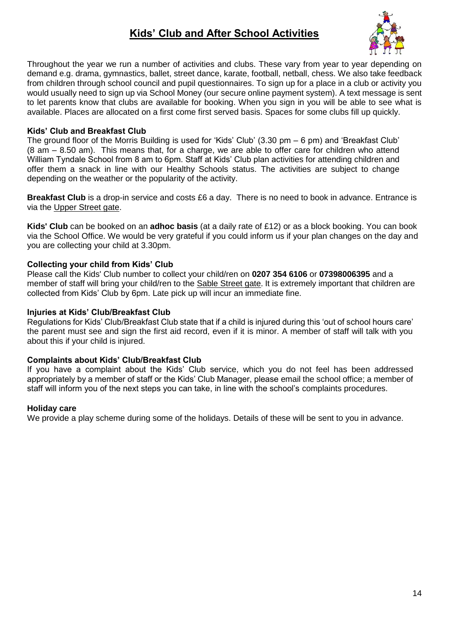# **Kids' Club and After School Activities**



Throughout the year we run a number of activities and clubs. These vary from year to year depending on demand e.g. drama, gymnastics, ballet, street dance, karate, football, netball, chess. We also take feedback from children through school council and pupil questionnaires. To sign up for a place in a club or activity you would usually need to sign up via School Money (our secure online payment system). A text message is sent to let parents know that clubs are available for booking. When you sign in you will be able to see what is available. Places are allocated on a first come first served basis. Spaces for some clubs fill up quickly.

### **Kids' Club and Breakfast Club**

The ground floor of the Morris Building is used for 'Kids' Club' (3.30 pm – 6 pm) and 'Breakfast Club' (8 am – 8.50 am). This means that, for a charge, we are able to offer care for children who attend William Tyndale School from 8 am to 6pm. Staff at Kids' Club plan activities for attending children and offer them a snack in line with our Healthy Schools status. The activities are subject to change depending on the weather or the popularity of the activity.

**Breakfast Club** is a drop-in service and costs £6 a day. There is no need to book in advance. Entrance is via the Upper Street gate.

**Kids' Club** can be booked on an **adhoc basis** (at a daily rate of £12) or as a block booking. You can book via the School Office. We would be very grateful if you could inform us if your plan changes on the day and you are collecting your child at 3.30pm.

### **Collecting your child from Kids' Club**

Please call the Kids' Club number to collect your child/ren on **0207 354 6106** or **07398006395** and a member of staff will bring your child/ren to the Sable Street gate. It is extremely important that children are collected from Kids' Club by 6pm. Late pick up will incur an immediate fine.

#### **Injuries at Kids' Club/Breakfast Club**

Regulations for Kids' Club/Breakfast Club state that if a child is injured during this 'out of school hours care' the parent must see and sign the first aid record, even if it is minor. A member of staff will talk with you about this if your child is injured.

#### **Complaints about Kids' Club/Breakfast Club**

If you have a complaint about the Kids' Club service, which you do not feel has been addressed appropriately by a member of staff or the Kids' Club Manager, please email the school office; a member of staff will inform you of the next steps you can take, in line with the school's complaints procedures.

#### **Holiday care**

We provide a play scheme during some of the holidays. Details of these will be sent to you in advance.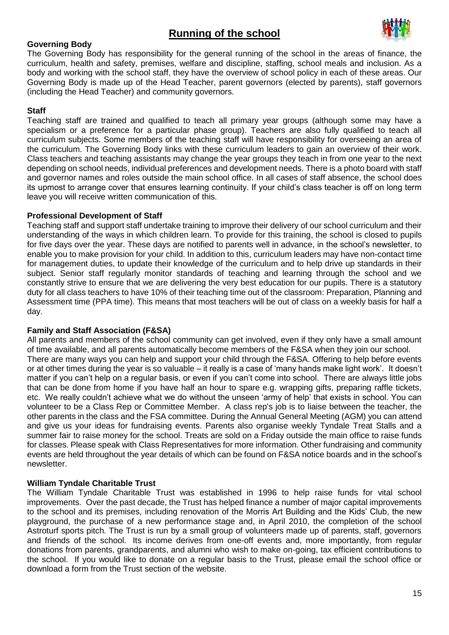# **Running of the school**



#### **Governing Body**

The Governing Body has responsibility for the general running of the school in the areas of finance, the curriculum, health and safety, premises, welfare and discipline, staffing, school meals and inclusion. As a body and working with the school staff, they have the overview of school policy in each of these areas. Our Governing Body is made up of the Head Teacher, parent governors (elected by parents), staff governors (including the Head Teacher) and community governors.

#### **Staff**

Teaching staff are trained and qualified to teach all primary year groups (although some may have a specialism or a preference for a particular phase group). Teachers are also fully qualified to teach all curriculum subjects. Some members of the teaching staff will have responsibility for overseeing an area of the curriculum. The Governing Body links with these curriculum leaders to gain an overview of their work. Class teachers and teaching assistants may change the year groups they teach in from one year to the next depending on school needs, individual preferences and development needs. There is a photo board with staff and governor names and roles outside the main school office. In all cases of staff absence, the school does its upmost to arrange cover that ensures learning continuity. If your child's class teacher is off on long term leave you will receive written communication of this.

#### **Professional Development of Staff**

Teaching staff and support staff undertake training to improve their delivery of our school curriculum and their understanding of the ways in which children learn. To provide for this training, the school is closed to pupils for five days over the year. These days are notified to parents well in advance, in the school's newsletter, to enable you to make provision for your child. In addition to this, curriculum leaders may have non-contact time for management duties, to update their knowledge of the curriculum and to help drive up standards in their subject. Senior staff regularly monitor standards of teaching and learning through the school and we constantly strive to ensure that we are delivering the very best education for our pupils. There is a statutory duty for all class teachers to have 10% of their teaching time out of the classroom: Preparation, Planning and Assessment time (PPA time). This means that most teachers will be out of class on a weekly basis for half a day.

#### **Family and Staff Association (F&SA)**

All parents and members of the school community can get involved, even if they only have a small amount of time available, and all parents automatically become members of the F&SA when they join our school. There are many ways you can help and support your child through the F&SA. Offering to help before events or at other times during the year is so valuable – it really is a case of 'many hands make light work'. It doesn't matter if you can't help on a regular basis, or even if you can't come into school. There are always little jobs that can be done from home if you have half an hour to spare e.g. wrapping gifts, preparing raffle tickets, etc. We really couldn't achieve what we do without the unseen 'army of help' that exists in school. You can volunteer to be a Class Rep or Committee Member. A class rep's job is to liaise between the teacher, the other parents in the class and the FSA committee. During the Annual General Meeting (AGM) you can attend and give us your ideas for fundraising events. Parents also organise weekly Tyndale Treat Stalls and a summer fair to raise money for the school. Treats are sold on a Friday outside the main office to raise funds for classes. Please speak with Class Representatives for more information. Other fundraising and community events are held throughout the year details of which can be found on F&SA notice boards and in the school's newsletter.

#### **William Tyndale Charitable Trust**

The William Tyndale Charitable Trust was established in 1996 to help raise funds for vital school improvements. Over the past decade, the Trust has helped finance a number of major capital improvements to the school and its premises, including renovation of the Morris Art Building and the Kids' Club, the new playground, the purchase of a new performance stage and, in April 2010, the completion of the school Astroturf sports pitch. The Trust is run by a small group of volunteers made up of parents, staff, governors and friends of the school. Its income derives from one-off events and, more importantly, from regular donations from parents, grandparents, and alumni who wish to make on-going, tax efficient contributions to the school. If you would like to donate on a regular basis to the Trust, please email the school office or download a form from the Trust section of the website.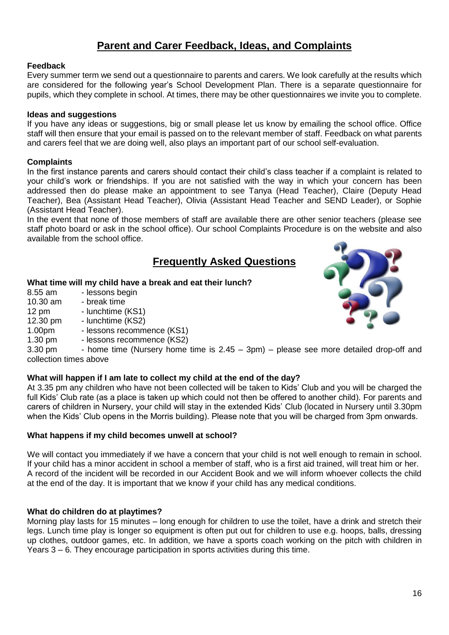# **Parent and Carer Feedback, Ideas, and Complaints**

#### **Feedback**

Every summer term we send out a questionnaire to parents and carers. We look carefully at the results which are considered for the following year's School Development Plan. There is a separate questionnaire for pupils, which they complete in school. At times, there may be other questionnaires we invite you to complete.

#### **Ideas and suggestions**

If you have any ideas or suggestions, big or small please let us know by emailing the school office. Office staff will then ensure that your email is passed on to the relevant member of staff. Feedback on what parents and carers feel that we are doing well, also plays an important part of our school self-evaluation.

#### **Complaints**

In the first instance parents and carers should contact their child's class teacher if a complaint is related to your child's work or friendships. If you are not satisfied with the way in which your concern has been addressed then do please make an appointment to see Tanya (Head Teacher), Claire (Deputy Head Teacher), Bea (Assistant Head Teacher), Olivia (Assistant Head Teacher and SEND Leader), or Sophie (Assistant Head Teacher).

In the event that none of those members of staff are available there are other senior teachers (please see staff photo board or ask in the school office). Our school Complaints Procedure is on the website and also available from the school office.

# **Frequently Asked Questions**

#### **What time will my child have a break and eat their lunch?**

- 8.55 am lessons begin 10.30 am - break time 12 pm - lunchtime (KS1) 12.30 pm - lunchtime (KS2)
- 1.00pm lessons recommence (KS1)
- 1.30 pm lessons recommence (KS2)

3.30 pm - home time (Nursery home time is  $2.45 - 3$ pm) – please see more detailed drop-off and collection times above

#### **What will happen if I am late to collect my child at the end of the day?**

At 3.35 pm any children who have not been collected will be taken to Kids' Club and you will be charged the full Kids' Club rate (as a place is taken up which could not then be offered to another child). For parents and carers of children in Nursery, your child will stay in the extended Kids' Club (located in Nursery until 3.30pm when the Kids' Club opens in the Morris building). Please note that you will be charged from 3pm onwards.

#### **What happens if my child becomes unwell at school?**

We will contact you immediately if we have a concern that your child is not well enough to remain in school. If your child has a minor accident in school a member of staff, who is a first aid trained, will treat him or her. A record of the incident will be recorded in our Accident Book and we will inform whoever collects the child at the end of the day. It is important that we know if your child has any medical conditions.

#### **What do children do at playtimes?**

Morning play lasts for 15 minutes – long enough for children to use the toilet, have a drink and stretch their legs. Lunch time play is longer so equipment is often put out for children to use e.g. hoops, balls, dressing up clothes, outdoor games, etc. In addition, we have a sports coach working on the pitch with children in Years 3 – 6. They encourage participation in sports activities during this time.

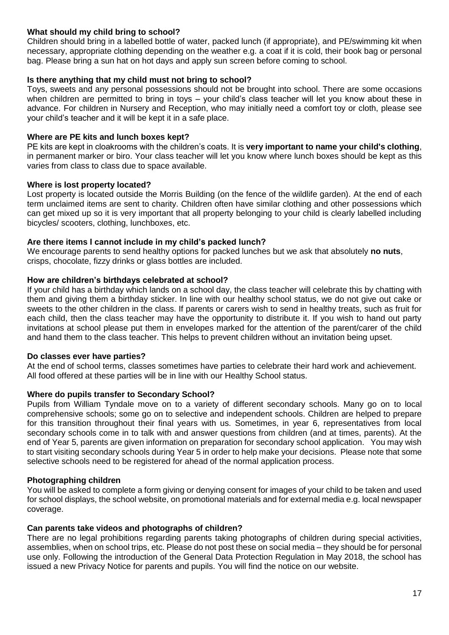#### **What should my child bring to school?**

Children should bring in a labelled bottle of water, packed lunch (if appropriate), and PE/swimming kit when necessary, appropriate clothing depending on the weather e.g. a coat if it is cold, their book bag or personal bag. Please bring a sun hat on hot days and apply sun screen before coming to school.

#### **Is there anything that my child must not bring to school?**

Toys, sweets and any personal possessions should not be brought into school. There are some occasions when children are permitted to bring in toys – your child's class teacher will let you know about these in advance. For children in Nursery and Reception, who may initially need a comfort toy or cloth, please see your child's teacher and it will be kept it in a safe place.

#### **Where are PE kits and lunch boxes kept?**

PE kits are kept in cloakrooms with the children's coats. It is **very important to name your child's clothing**, in permanent marker or biro. Your class teacher will let you know where lunch boxes should be kept as this varies from class to class due to space available.

#### **Where is lost property located?**

Lost property is located outside the Morris Building (on the fence of the wildlife garden). At the end of each term unclaimed items are sent to charity. Children often have similar clothing and other possessions which can get mixed up so it is very important that all property belonging to your child is clearly labelled including bicycles/ scooters, clothing, lunchboxes, etc.

#### **Are there items I cannot include in my child's packed lunch?**

We encourage parents to send healthy options for packed lunches but we ask that absolutely **no nuts**, crisps, chocolate, fizzy drinks or glass bottles are included.

# **How are children's birthdays celebrated at school?**

If your child has a birthday which lands on a school day, the class teacher will celebrate this by chatting with them and giving them a birthday sticker. In line with our healthy school status, we do not give out cake or sweets to the other children in the class. If parents or carers wish to send in healthy treats, such as fruit for each child, then the class teacher may have the opportunity to distribute it. If you wish to hand out party invitations at school please put them in envelopes marked for the attention of the parent/carer of the child and hand them to the class teacher. This helps to prevent children without an invitation being upset.

#### **Do classes ever have parties?**

At the end of school terms, classes sometimes have parties to celebrate their hard work and achievement. All food offered at these parties will be in line with our Healthy School status.

#### **Where do pupils transfer to Secondary School?**

Pupils from William Tyndale move on to a variety of different secondary schools. Many go on to local comprehensive schools; some go on to selective and independent schools. Children are helped to prepare for this transition throughout their final years with us. Sometimes, in year 6, representatives from local secondary schools come in to talk with and answer questions from children (and at times, parents). At the end of Year 5, parents are given information on preparation for secondary school application. You may wish to start visiting secondary schools during Year 5 in order to help make your decisions. Please note that some selective schools need to be registered for ahead of the normal application process.

#### **Photographing children**

You will be asked to complete a form giving or denying consent for images of your child to be taken and used for school displays, the school website, on promotional materials and for external media e.g. local newspaper coverage.

#### **Can parents take videos and photographs of children?**

There are no legal prohibitions regarding parents taking photographs of children during special activities, assemblies, when on school trips, etc. Please do not post these on social media – they should be for personal use only. Following the introduction of the General Data Protection Regulation in May 2018, the school has issued a new Privacy Notice for parents and pupils. You will find the notice on our website.